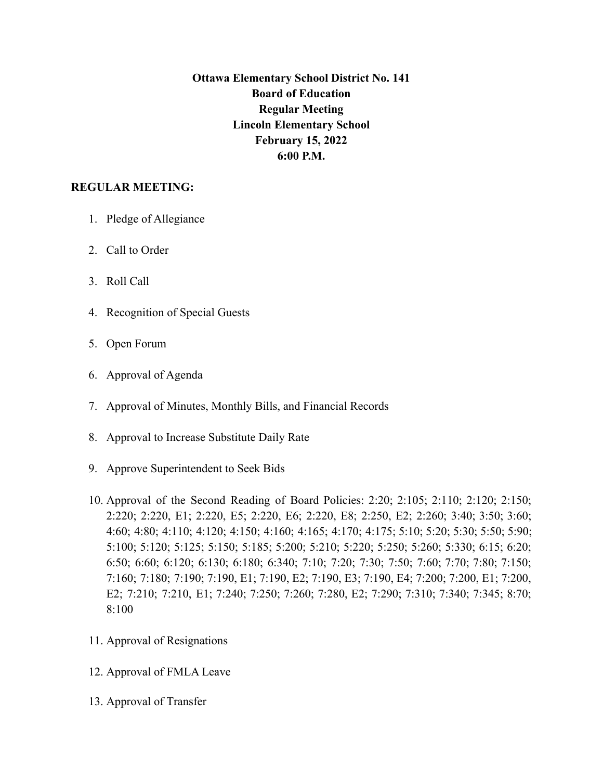**Ottawa Elementary School District No. 141 Board of Education Regular Meeting Lincoln Elementary School February 15, 2022 6:00 P.M.**

## **REGULAR MEETING:**

- 1. Pledge of Allegiance
- 2. Call to Order
- 3. Roll Call
- 4. Recognition of Special Guests
- 5. Open Forum
- 6. Approval of Agenda
- 7. Approval of Minutes, Monthly Bills, and Financial Records
- 8. Approval to Increase Substitute Daily Rate
- 9. Approve Superintendent to Seek Bids
- 10. Approval of the Second Reading of Board Policies: 2:20; 2:105; 2:110; 2:120; 2:150; 2:220; 2:220, E1; 2:220, E5; 2:220, E6; 2:220, E8; 2:250, E2; 2:260; 3:40; 3:50; 3:60; 4:60; 4:80; 4:110; 4:120; 4:150; 4:160; 4:165; 4:170; 4:175; 5:10; 5:20; 5:30; 5:50; 5:90; 5:100; 5:120; 5:125; 5:150; 5:185; 5:200; 5:210; 5:220; 5:250; 5:260; 5:330; 6:15; 6:20; 6:50; 6:60; 6:120; 6:130; 6:180; 6:340; 7:10; 7:20; 7:30; 7:50; 7:60; 7:70; 7:80; 7:150; 7:160; 7:180; 7:190; 7:190, E1; 7:190, E2; 7:190, E3; 7:190, E4; 7:200; 7:200, E1; 7:200, E2; 7:210; 7:210, E1; 7:240; 7:250; 7:260; 7:280, E2; 7:290; 7:310; 7:340; 7:345; 8:70; 8:100
- 11. Approval of Resignations
- 12. Approval of FMLA Leave
- 13. Approval of Transfer